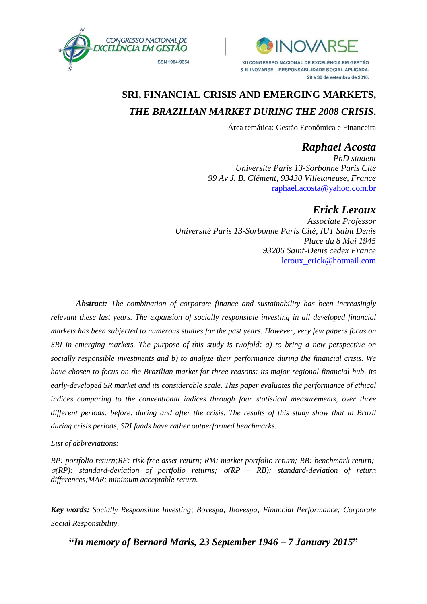



# **SRI, FINANCIAL CRISIS AND EMERGING MARKETS,** *THE BRAZILIAN MARKET DURING THE 2008 CRISIS***.**

Área temática: Gestão Econômica e Financeira

## *Raphael Acosta*

*PhD student Université Paris 13-Sorbonne Paris Cité 99 Av J. B. Clément, 93430 Villetaneuse, France* [raphael.acosta@yahoo.com.br](mailto:raphael.acosta@yahoo.com.br)

## *Erick Leroux*

*Associate Professor Université Paris 13-Sorbonne Paris Cité, IUT Saint Denis Place du 8 Mai 1945 93206 Saint-Denis cedex France* [leroux\\_erick@hotmail.com](mailto:leroux_erick@hotmail.com)

*Abstract: The combination of corporate finance and sustainability has been increasingly relevant these last years. The expansion of socially responsible investing in all developed financial markets has been subjected to numerous studies for the past years. However, very few papers focus on SRI in emerging markets. The purpose of this study is twofold: a) to bring a new perspective on socially responsible investments and b) to analyze their performance during the financial crisis. We have chosen to focus on the Brazilian market for three reasons: its major regional financial hub, its early-developed SR market and its considerable scale. This paper evaluates the performance of ethical indices comparing to the conventional indices through four statistical measurements, over three different periods: before, during and after the crisis. The results of this study show that in Brazil during crisis periods, SRI funds have rather outperformed benchmarks.*

#### *List of abbreviations:*

*RP: portfolio return;RF: risk-free asset return; RM: market portfolio return; RB: benchmark return;*  $\sigma(RP)$ : *standard-deviation of portfolio returns;*  $\sigma(RP - RB)$ : *standard-deviation of return differences;MAR: minimum acceptable return.*

*Key words: Socially Responsible Investing; Bovespa; Ibovespa; Financial Performance; Corporate Social Responsibility.*

**"***In memory of Bernard Maris, 23 September 1946 – 7 January 2015***"**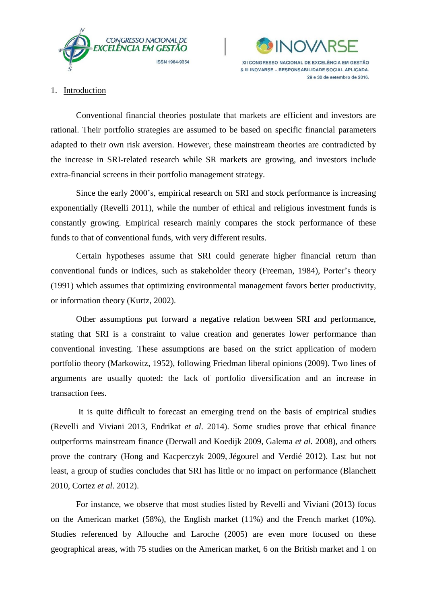



29 e 30 de setembro de 2016.

#### 1. Introduction

Conventional financial theories postulate that markets are efficient and investors are rational. Their portfolio strategies are assumed to be based on specific financial parameters adapted to their own risk aversion. However, these mainstream theories are contradicted by the increase in SRI-related research while SR markets are growing, and investors include extra-financial screens in their portfolio management strategy.

Since the early 2000's, empirical research on SRI and stock performance is increasing exponentially (Revelli 2011), while the number of ethical and religious investment funds is constantly growing. Empirical research mainly compares the stock performance of these funds to that of conventional funds, with very different results.

Certain hypotheses assume that SRI could generate higher financial return than conventional funds or indices, such as stakeholder theory (Freeman, 1984), Porter's theory (1991) which assumes that optimizing environmental management favors better productivity, or information theory (Kurtz, 2002).

Other assumptions put forward a negative relation between SRI and performance, stating that SRI is a constraint to value creation and generates lower performance than conventional investing. These assumptions are based on the strict application of modern portfolio theory (Markowitz, 1952), following Friedman liberal opinions (2009). Two lines of arguments are usually quoted: the lack of portfolio diversification and an increase in transaction fees.

It is quite difficult to forecast an emerging trend on the basis of empirical studies (Revelli and Viviani 2013, Endrikat *et al*. 2014). Some studies prove that ethical finance outperforms mainstream finance (Derwall and Koedijk 2009, Galema *et al.* 2008), and others prove the contrary (Hong and Kacperczyk 2009, Jégourel and Verdié 2012). Last but not least, a group of studies concludes that SRI has little or no impact on performance (Blanchett 2010, Cortez *et al*. 2012).

For instance, we observe that most studies listed by Revelli and Viviani (2013) focus on the American market (58%), the English market (11%) and the French market (10%). Studies referenced by Allouche and Laroche (2005) are even more focused on these geographical areas, with 75 studies on the American market, 6 on the British market and 1 on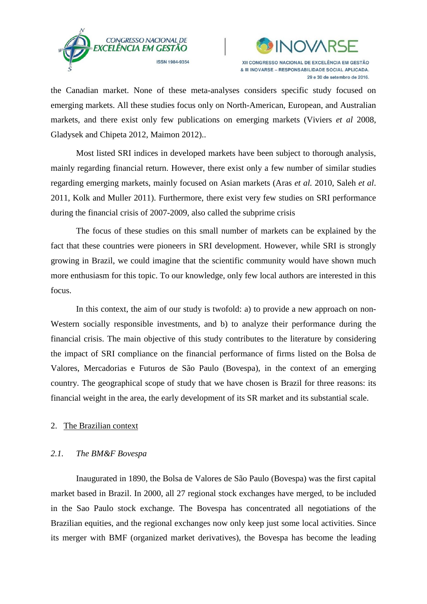



the Canadian market. None of these meta-analyses considers specific study focused on emerging markets. All these studies focus only on North-American, European, and Australian markets, and there exist only few publications on emerging markets (Viviers *et al* 2008, Gladysek and Chipeta 2012, Maimon 2012)..

Most listed SRI indices in developed markets have been subject to thorough analysis, mainly regarding financial return. However, there exist only a few number of similar studies regarding emerging markets, mainly focused on Asian markets (Aras *et al.* 2010, Saleh *et al*. 2011, Kolk and Muller 2011). Furthermore, there exist very few studies on SRI performance during the financial crisis of 2007-2009, also called the subprime crisis

The focus of these studies on this small number of markets can be explained by the fact that these countries were pioneers in SRI development. However, while SRI is strongly growing in Brazil, we could imagine that the scientific community would have shown much more enthusiasm for this topic. To our knowledge, only few local authors are interested in this focus.

In this context, the aim of our study is twofold: a) to provide a new approach on non-Western socially responsible investments, and b) to analyze their performance during the financial crisis. The main objective of this study contributes to the literature by considering the impact of SRI compliance on the financial performance of firms listed on the Bolsa de Valores, Mercadorias e Futuros de São Paulo (Bovespa), in the context of an emerging country. The geographical scope of study that we have chosen is Brazil for three reasons: its financial weight in the area, the early development of its SR market and its substantial scale.

## 2. The Brazilian context

#### *2.1. The BM&F Bovespa*

Inaugurated in 1890, the Bolsa de Valores de São Paulo (Bovespa) was the first capital market based in Brazil. In 2000, all 27 regional stock exchanges have merged, to be included in the Sao Paulo stock exchange. The Bovespa has concentrated all negotiations of the Brazilian equities, and the regional exchanges now only keep just some local activities. Since its merger with BMF (organized market derivatives), the Bovespa has become the leading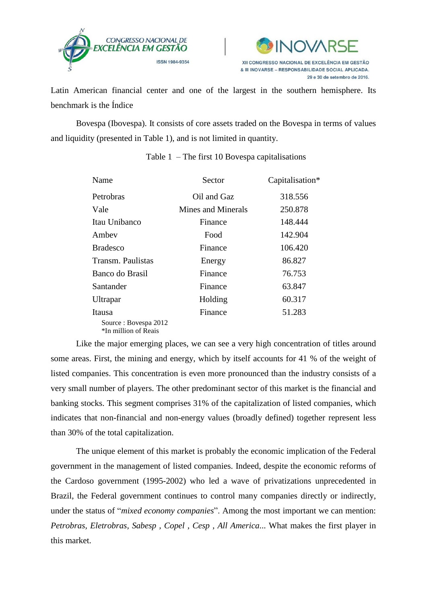



Latin American financial center and one of the largest in the southern hemisphere. Its benchmark is the Índice

Bovespa (Ibovespa). It consists of core assets traded on the Bovespa in terms of values and liquidity (presented in Table 1), and is not limited in quantity.

| Name                                         | Sector             |         |
|----------------------------------------------|--------------------|---------|
| Petrobras                                    | Oil and Gaz        | 318.556 |
| Vale                                         | Mines and Minerals | 250.878 |
| Itau Unibanco                                | Finance            | 148.444 |
| Ambev                                        | Food               | 142.904 |
| <b>Bradesco</b>                              | Finance            | 106.420 |
| Transm. Paulistas                            | Energy             | 86.827  |
| Banco do Brasil                              | Finance            | 76.753  |
| Santander                                    | Finance            | 63.847  |
| Ultrapar                                     | Holding            | 60.317  |
| Itausa                                       | Finance            | 51.283  |
| Source: Bovespa 2012<br>*In million of Reais |                    |         |

## Table  $1$  – The first 10 Bovespa capitalisations

Like the major emerging places, we can see a very high concentration of titles around some areas. First, the mining and energy, which by itself accounts for 41 % of the weight of listed companies. This concentration is even more pronounced than the industry consists of a very small number of players. The other predominant sector of this market is the financial and banking stocks. This segment comprises 31% of the capitalization of listed companies, which indicates that non-financial and non-energy values (broadly defined) together represent less than 30% of the total capitalization.

The unique element of this market is probably the economic implication of the Federal government in the management of listed companies. Indeed, despite the economic reforms of the Cardoso government (1995-2002) who led a wave of privatizations unprecedented in Brazil, the Federal government continues to control many companies directly or indirectly, under the status of "*mixed economy companies*". Among the most important we can mention: *Petrobras, Eletrobras, Sabesp , Copel , Cesp , All America*... What makes the first player in this market.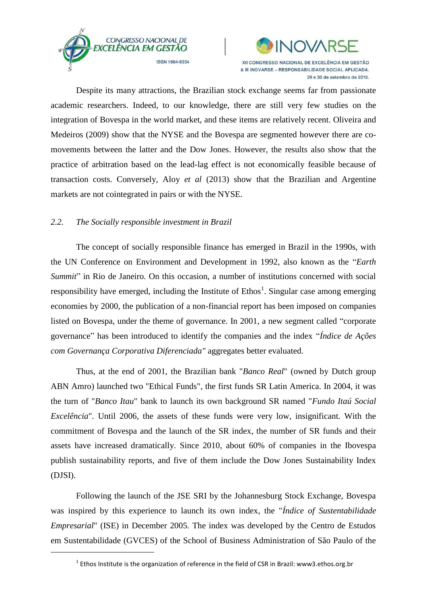



Despite its many attractions, the Brazilian stock exchange seems far from passionate academic researchers. Indeed, to our knowledge, there are still very few studies on the integration of Bovespa in the world market, and these items are relatively recent. Oliveira and Medeiros (2009) show that the NYSE and the Bovespa are segmented however there are comovements between the latter and the Dow Jones. However, the results also show that the practice of arbitration based on the lead-lag effect is not economically feasible because of transaction costs. Conversely, Aloy *et al* (2013) show that the Brazilian and Argentine markets are not cointegrated in pairs or with the NYSE.

## *2.2. The Socially responsible investment in Brazil*

1

The concept of socially responsible finance has emerged in Brazil in the 1990s, with the UN Conference on Environment and Development in 1992, also known as the "*Earth Summit*" in Rio de Janeiro. On this occasion, a number of institutions concerned with social responsibility have emerged, including the Institute of  $Ethos<sup>1</sup>$ . Singular case among emerging economies by 2000, the publication of a non-financial report has been imposed on companies listed on Bovespa, under the theme of governance. In 2001, a new segment called "corporate governance" has been introduced to identify the companies and the index "*Índice de Ações com Governança Corporativa Diferenciada"* aggregates better evaluated.

Thus, at the end of 2001, the Brazilian bank "*Banco Real*" (owned by Dutch group ABN Amro) launched two "Ethical Funds", the first funds SR Latin America. In 2004, it was the turn of "*Banco Itau*" bank to launch its own background SR named "*Fundo Itaú Social Excelência*". Until 2006, the assets of these funds were very low, insignificant. With the commitment of Bovespa and the launch of the SR index, the number of SR funds and their assets have increased dramatically. Since 2010, about 60% of companies in the Ibovespa publish sustainability reports, and five of them include the Dow Jones Sustainability Index (DJSI).

Following the launch of the JSE SRI by the Johannesburg Stock Exchange, Bovespa was inspired by this experience to launch its own index, the "*Índice of Sustentabilidade Empresarial*" (ISE) in December 2005. The index was developed by the Centro de Estudos em Sustentabilidade (GVCES) of the School of Business Administration of São Paulo of the

 $^{1}$  Ethos Institute is the organization of reference in the field of CSR in Brazil: www3.ethos.org.br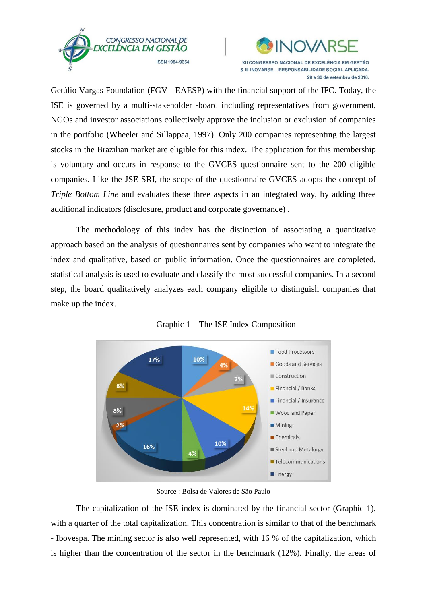



Getúlio Vargas Foundation (FGV - EAESP) with the financial support of the IFC. Today, the ISE is governed by a multi-stakeholder -board including representatives from government, NGOs and investor associations collectively approve the inclusion or exclusion of companies in the portfolio (Wheeler and Sillappaa, 1997). Only 200 companies representing the largest stocks in the Brazilian market are eligible for this index. The application for this membership is voluntary and occurs in response to the GVCES questionnaire sent to the 200 eligible companies. Like the JSE SRI, the scope of the questionnaire GVCES adopts the concept of *Triple Bottom <i>Line* and evaluates these three aspects in an integrated way, by adding three additional indicators (disclosure, product and corporate governance) .

The methodology of this index has the distinction of associating a quantitative approach based on the analysis of questionnaires sent by companies who want to integrate the index and qualitative, based on public information. Once the questionnaires are completed, statistical analysis is used to evaluate and classify the most successful companies. In a second step, the board qualitatively analyzes each company eligible to distinguish companies that make up the index.



Graphic 1 – The ISE Index Composition

Source : Bolsa de Valores de São Paulo

The capitalization of the ISE index is dominated by the financial sector (Graphic 1), with a quarter of the total capitalization. This concentration is similar to that of the benchmark - Ibovespa. The mining sector is also well represented, with 16 % of the capitalization, which is higher than the concentration of the sector in the benchmark (12%). Finally, the areas of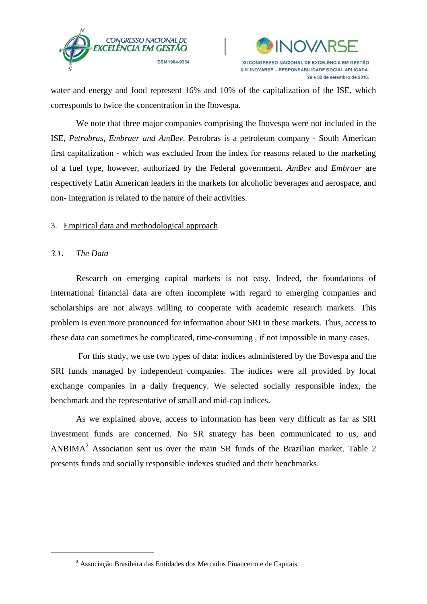



water and energy and food represent 16% and 10% of the capitalization of the ISE, which corresponds to twice the concentration in the Ibovespa.

We note that three major companies comprising the Ibovespa were not included in the ISE, *Petrobras, Embraer and AmBev*. Petrobras is a petroleum company - South American first capitalization - which was excluded from the index for reasons related to the marketing of a fuel type, however, authorized by the Federal government. *AmBev* and *Embraer* are respectively Latin American leaders in the markets for alcoholic beverages and aerospace, and non- integration is related to the nature of their activities.

## 3. Empirical data and methodological approach

## *3.1. The Data*

1

Research on emerging capital markets is not easy. Indeed, the foundations of international financial data are often incomplete with regard to emerging companies and scholarships are not always willing to cooperate with academic research markets. This problem is even more pronounced for information about SRI in these markets. Thus, access to these data can sometimes be complicated, time-consuming , if not impossible in many cases.

For this study, we use two types of data: indices administered by the Bovespa and the SRI funds managed by independent companies. The indices were all provided by local exchange companies in a daily frequency. We selected socially responsible index, the benchmark and the representative of small and mid-cap indices.

As we explained above, access to information has been very difficult as far as SRI investment funds are concerned. No SR strategy has been communicated to us, and ANBIMA<sup>2</sup> Association sent us over the main SR funds of the Brazilian market. Table 2 presents funds and socially responsible indexes studied and their benchmarks.

<sup>2</sup> Associação Brasileira das Entidades dos Mercados Financeiro e de Capitais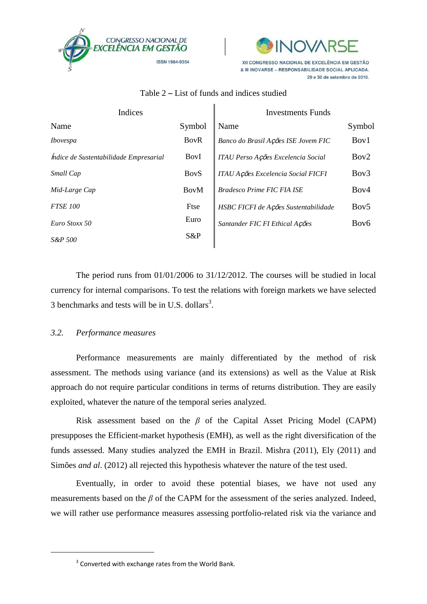



| Indices                                       |              | Investments Funds                    |                  |
|-----------------------------------------------|--------------|--------------------------------------|------------------|
| Name                                          | Symbol       | Name                                 | Symbol           |
| <i>Ibovespa</i>                               | <b>BovR</b>  | Banco do Brasil Ações ISE Jovem FIC  | Boy1             |
| <i>Indice de Sustentabilidade Empresarial</i> | <b>Boy</b> I | ITAU Perso Ações Excelencia Social   | Boy2             |
| Small Cap                                     | <b>BoyS</b>  | ITAU Ações Excelencia Social FICFI   | Bov3             |
| Mid-Large Cap                                 | <b>BoyM</b>  | <b>Bradesco Prime FIC FIA ISE</b>    | Boy4             |
| <b>FTSE 100</b>                               | Ftse         | HSBC FICFI de Ações Sustentabilidade | Boy <sub>5</sub> |
| Euro Stoxx 50                                 | Euro         | Santander FIC FI Ethical Ações       | Bov <sub>6</sub> |
| S&P 500                                       | S&P          |                                      |                  |

## Table 2 – List of funds and indices studied

The period runs from 01/01/2006 to 31/12/2012. The courses will be studied in local currency for internal comparisons. To test the relations with foreign markets we have selected 3 benchmarks and tests will be in U.S. dollars<sup>3</sup>.

#### *3.2. Performance measures*

1

Performance measurements are mainly differentiated by the method of risk assessment. The methods using variance (and its extensions) as well as the Value at Risk approach do not require particular conditions in terms of returns distribution. They are easily exploited, whatever the nature of the temporal series analyzed.

Risk assessment based on the *β* of the Capital Asset Pricing Model (CAPM) presupposes the Efficient-market hypothesis (EMH), as well as the right diversification of the funds assessed. Many studies analyzed the EMH in Brazil. Mishra (2011), Ely (2011) and Simões *and al*. (2012) all rejected this hypothesis whatever the nature of the test used.

Eventually, in order to avoid these potential biases, we have not used any measurements based on the *β* of the CAPM for the assessment of the series analyzed. Indeed, we will rather use performance measures assessing portfolio-related risk via the variance and

 $3$  Converted with exchange rates from the World Bank.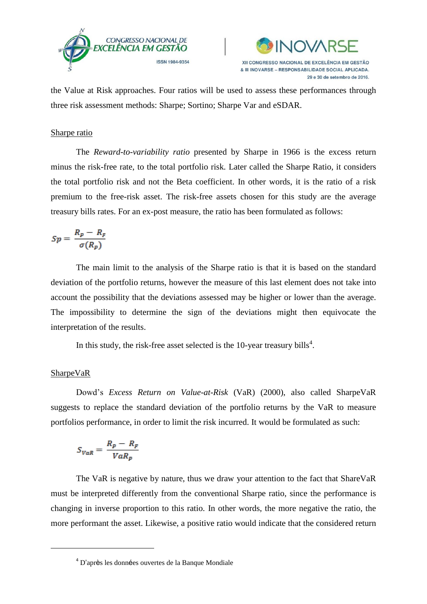



the Value at Risk approaches. Four ratios will be used to assess these performances through three risk assessment methods: Sharpe; Sortino; Sharpe Var and eSDAR.

## Sharpe ratio

The *Reward-to-variability ratio* presented by Sharpe in 1966 is the excess return minus the risk-free rate, to the total portfolio risk. Later called the Sharpe Ratio, it considers the total portfolio risk and not the Beta coefficient. In other words, it is the ratio of a risk premium to the free-risk asset. The risk-free assets chosen for this study are the average treasury bills rates. For an ex-post measure, the ratio has been formulated as follows:

$$
Sp = \frac{R_p - R_p}{\sigma(R_p)}
$$

The main limit to the analysis of the Sharpe ratio is that it is based on the standard deviation of the portfolio returns, however the measure of this last element does not take into account the possibility that the deviations assessed may be higher or lower than the average. The impossibility to determine the sign of the deviations might then equivocate the interpretation of the results.

In this study, the risk-free asset selected is the 10-year treasury bills<sup>4</sup>.

## SharpeVaR

**.** 

Dowd's *Excess Return on Value-at-Risk* (VaR) (2000), also called SharpeVaR suggests to replace the standard deviation of the portfolio returns by the VaR to measure portfolios performance, in order to limit the risk incurred. It would be formulated as such:

$$
S_{VaR} = \frac{R_p - R_F}{VaR_p}
$$

The VaR is negative by nature, thus we draw your attention to the fact that ShareVaR must be interpreted differently from the conventional Sharpe ratio, since the performance is changing in inverse proportion to this ratio. In other words, the more negative the ratio, the more performant the asset. Likewise, a positive ratio would indicate that the considered return

<sup>4</sup> D'après les données ouvertes de la Banque Mondiale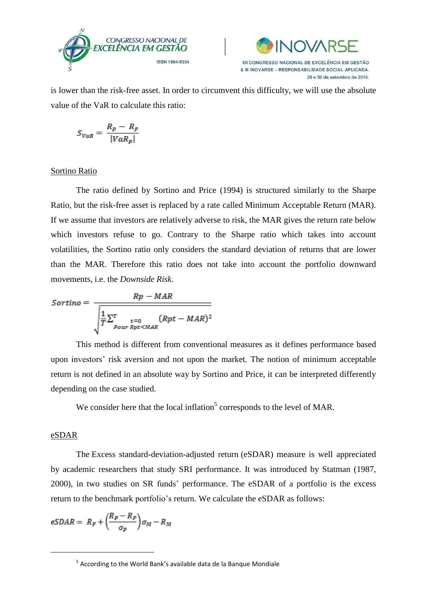



is lower than the risk-free asset. In order to circumvent this difficulty, we will use the absolute value of the VaR to calculate this ratio:

$$
S_{VaR} = \frac{R_p - R_F}{|VaR_p|}
$$

## Sortino Ratio

The ratio defined by Sortino and Price (1994) is structured similarly to the Sharpe Ratio, but the risk-free asset is replaced by a rate called Minimum Acceptable Return (MAR). If we assume that investors are relatively adverse to risk, the MAR gives the return rate below which investors refuse to go. Contrary to the Sharpe ratio which takes into account volatilities, the Sortino ratio only considers the standard deviation of returns that are lower than the MAR. Therefore this ratio does not take into account the portfolio downward movements, i.e. the *Downside Risk*.

$$
Sortino = \frac{Rp - MAR}{\sqrt{\frac{1}{T}\sum_{\substack{t=0\\Pour Rpt < MAR}}^{T} (Rpt - MAR)^2}}
$$

This method is different from conventional measures as it defines performance based upon investors' risk aversion and not upon the market. The notion of minimum acceptable return is not defined in an absolute way by Sortino and Price, it can be interpreted differently depending on the case studied.

We consider here that the local inflation<sup>5</sup> corresponds to the level of MAR.

#### eSDAR

1

The Excess standard-deviation-adjusted return (eSDAR) measure is well appreciated by academic researchers that study SRI performance. It was introduced by Statman (1987, 2000), in two studies on SR funds' performance. The eSDAR of a portfolio is the excess return to the benchmark portfolio's return. We calculate the eSDAR as follows:

$$
eSDAR = R_F + \left(\frac{R_P - R_F}{\sigma_P}\right)\sigma_M - R_M
$$

<sup>&</sup>lt;sup>5</sup> According to the World Bank's available data de la Banque Mondiale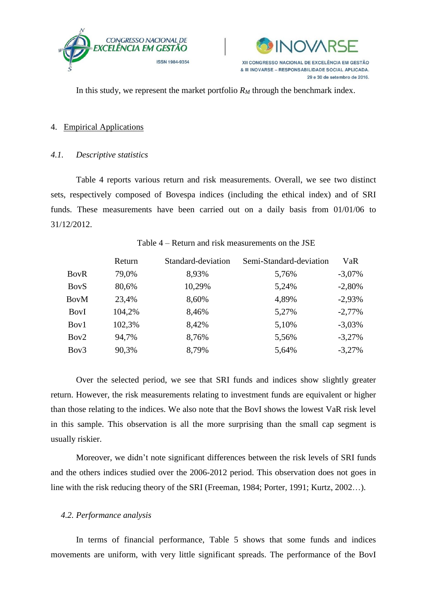



In this study, we represent the market portfolio  $R_M$  through the benchmark index.

#### 4. Empirical Applications

## *4.1. Descriptive statistics*

Table 4 reports various return and risk measurements. Overall, we see two distinct sets, respectively composed of Bovespa indices (including the ethical index) and of SRI funds. These measurements have been carried out on a daily basis from 01/01/06 to 31/12/2012.

| Table 4 – Return and risk measurements on the JSE |  |
|---------------------------------------------------|--|
|---------------------------------------------------|--|

|                  | Return | Standard-deviation | Semi-Standard-deviation | VaR      |
|------------------|--------|--------------------|-------------------------|----------|
| <b>BovR</b>      | 79,0%  | 8,93%              | 5,76%                   | $-3,07%$ |
| <b>BoyS</b>      | 80,6%  | 10,29%             | 5,24%                   | $-2,80%$ |
| <b>BovM</b>      | 23,4%  | 8,60%              | 4,89%                   | $-2,93%$ |
| <b>Boy</b> I     | 104,2% | 8,46%              | 5,27%                   | $-2,77%$ |
| Boy1             | 102,3% | 8,42%              | 5,10%                   | $-3,03%$ |
| Boy <sub>2</sub> | 94,7%  | 8,76%              | 5,56%                   | $-3,27%$ |
| Bov <sub>3</sub> | 90,3%  | 8,79%              | 5,64%                   | $-3,27%$ |

Over the selected period, we see that SRI funds and indices show slightly greater return. However, the risk measurements relating to investment funds are equivalent or higher than those relating to the indices. We also note that the BovI shows the lowest VaR risk level in this sample. This observation is all the more surprising than the small cap segment is usually riskier.

Moreover, we didn't note significant differences between the risk levels of SRI funds and the others indices studied over the 2006-2012 period. This observation does not goes in line with the risk reducing theory of the SRI (Freeman, 1984; Porter, 1991; Kurtz, 2002…).

## *4.2. Performance analysis*

In terms of financial performance, Table 5 shows that some funds and indices movements are uniform, with very little significant spreads. The performance of the BovI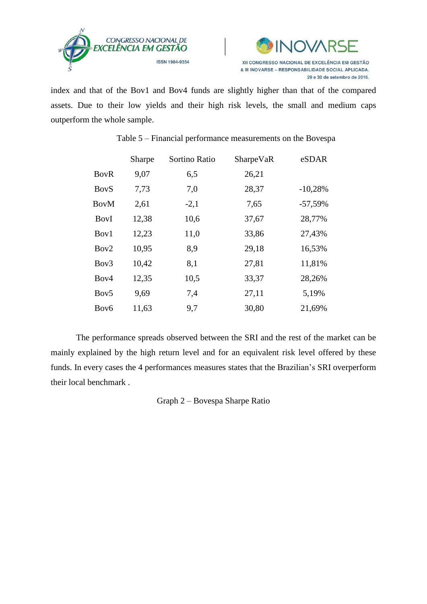



index and that of the Bov1 and Bov4 funds are slightly higher than that of the compared assets. Due to their low yields and their high risk levels, the small and medium caps outperform the whole sample.

|                  | Sharpe | Sortino Ratio | SharpeVaR | eSDAR      |
|------------------|--------|---------------|-----------|------------|
| <b>BovR</b>      | 9,07   | 6,5           | 26,21     |            |
| <b>BoyS</b>      | 7,73   | 7,0           | 28,37     | $-10,28%$  |
| BovM             | 2,61   | $-2,1$        | 7,65      | $-57,59\%$ |
| <b>Boy</b> I     | 12,38  | 10,6          | 37,67     | 28,77%     |
| Boy1             | 12,23  | 11,0          | 33,86     | 27,43%     |
| Boy2             | 10,95  | 8,9           | 29,18     | 16,53%     |
| Boy3             | 10,42  | 8,1           | 27,81     | 11,81%     |
| Bov <sub>4</sub> | 12,35  | 10,5          | 33,37     | 28,26%     |
| Boy <sub>5</sub> | 9,69   | 7,4           | 27,11     | 5,19%      |
| Bov <sub>6</sub> | 11,63  | 9,7           | 30,80     | 21,69%     |

## Table 5 – Financial performance measurements on the Bovespa

The performance spreads observed between the SRI and the rest of the market can be mainly explained by the high return level and for an equivalent risk level offered by these funds. In every cases the 4 performances measures states that the Brazilian's SRI overperform their local benchmark .

Graph 2 – Bovespa Sharpe Ratio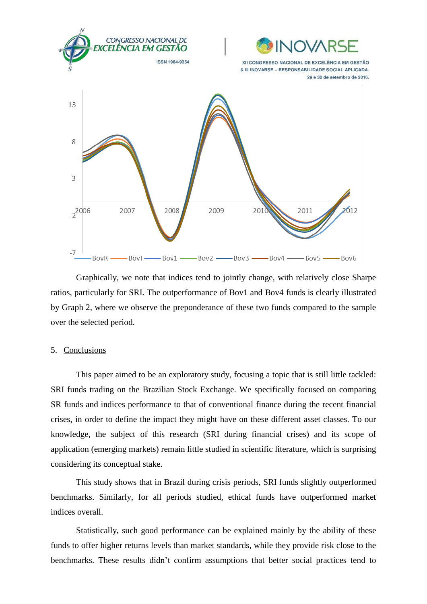

Graphically, we note that indices tend to jointly change, with relatively close Sharpe ratios, particularly for SRI. The outperformance of Bov1 and Bov4 funds is clearly illustrated by Graph 2, where we observe the preponderance of these two funds compared to the sample over the selected period.

#### 5. Conclusions

This paper aimed to be an exploratory study, focusing a topic that is still little tackled: SRI funds trading on the Brazilian Stock Exchange. We specifically focused on comparing SR funds and indices performance to that of conventional finance during the recent financial crises, in order to define the impact they might have on these different asset classes. To our knowledge, the subject of this research (SRI during financial crises) and its scope of application (emerging markets) remain little studied in scientific literature, which is surprising considering its conceptual stake.

This study shows that in Brazil during crisis periods, SRI funds slightly outperformed benchmarks. Similarly, for all periods studied, ethical funds have outperformed market indices overall.

Statistically, such good performance can be explained mainly by the ability of these funds to offer higher returns levels than market standards, while they provide risk close to the benchmarks. These results didn't confirm assumptions that better social practices tend to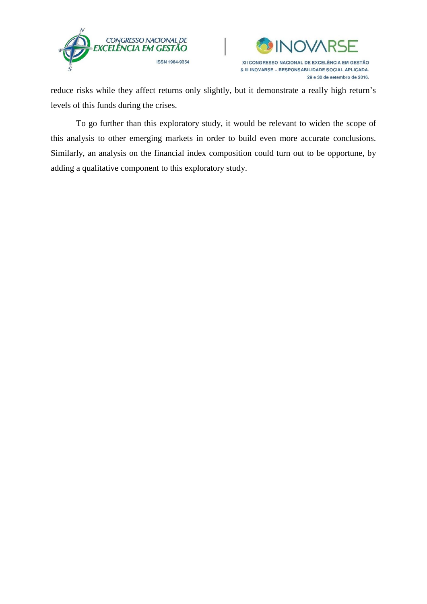



reduce risks while they affect returns only slightly, but it demonstrate a really high return's levels of this funds during the crises.

To go further than this exploratory study, it would be relevant to widen the scope of this analysis to other emerging markets in order to build even more accurate conclusions. Similarly, an analysis on the financial index composition could turn out to be opportune, by adding a qualitative component to this exploratory study.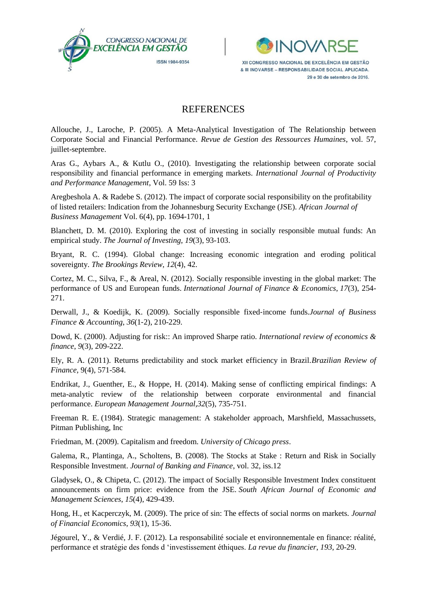



## **REFERENCES**

Allouche, J., Laroche, P. (2005). A Meta-Analytical Investigation of The Relationship between Corporate Social and Financial Performance. *Revue de Gestion des Ressources Humaines*, vol. 57, juillet-septembre.

Aras G., Aybars A., & Kutlu O., (2010). Investigating the relationship between corporate social responsibility and financial performance in emerging markets. *International Journal of Productivity and Performance Management*, Vol. 59 Iss: 3

Aregbeshola A. & Radebe S. (2012). The impact of corporate social responsibility on the profitability of listed retailers: Indication from the Johannesburg Security Exchange (JSE). *African Journal of Business Management* Vol. 6(4), pp. 1694-1701, 1

Blanchett, D. M. (2010). Exploring the cost of investing in socially responsible mutual funds: An empirical study. *The Journal of Investing*, *19*(3), 93-103.

Bryant, R. C. (1994). Global change: Increasing economic integration and eroding political sovereignty. *The Brookings Review*, *12*(4), 42.

Cortez, M. C., Silva, F., & Areal, N. (2012). Socially responsible investing in the global market: The performance of US and European funds. *International Journal of Finance & Economics*, *17*(3), 254- 271.

Derwall, J., & Koedijk, K. (2009). Socially responsible fixed‐income funds.*Journal of Business Finance & Accounting*, *36*(1‐2), 210-229.

Dowd, K. (2000). Adjusting for risk:: An improved Sharpe ratio. *International review of economics & finance*, *9*(3), 209-222.

Ely, R. A. (2011). Returns predictability and stock market efficiency in Brazil.*Brazilian Review of Finance,* 9(4), 571-584.

Endrikat, J., Guenther, E., & Hoppe, H. (2014). Making sense of conflicting empirical findings: A meta-analytic review of the relationship between corporate environmental and financial performance. *European Management Journal*,*32*(5), 735-751.

Freeman R. E. (1984). Strategic management: A stakeholder approach, Marshfield, Massachussets, Pitman Publishing, Inc

Friedman, M. (2009). Capitalism and freedom. *University of Chicago press*.

Galema, R., Plantinga, A., Scholtens, B. (2008). The Stocks at Stake : Return and Risk in Socially Responsible Investment. *Journal of Banking and Finance*, vol. 32, iss.12

Gladysek, O., & Chipeta, C. (2012). The impact of Socially Responsible Investment Index constituent announcements on firm price: evidence from the JSE. *South African Journal of Economic and Management Sciences*, *15*(4), 429-439.

Hong, H., et Kacperczyk, M. (2009). The price of sin: The effects of social norms on markets. *Journal of Financial Economics*, *93*(1), 15-36.

Jégourel, Y., & Verdié, J. F. (2012). La responsabilité sociale et environnementale en finance: réalité, performance et stratégie des fonds d 'investissement éthiques. *La revue du financier*, *193*, 20-29.